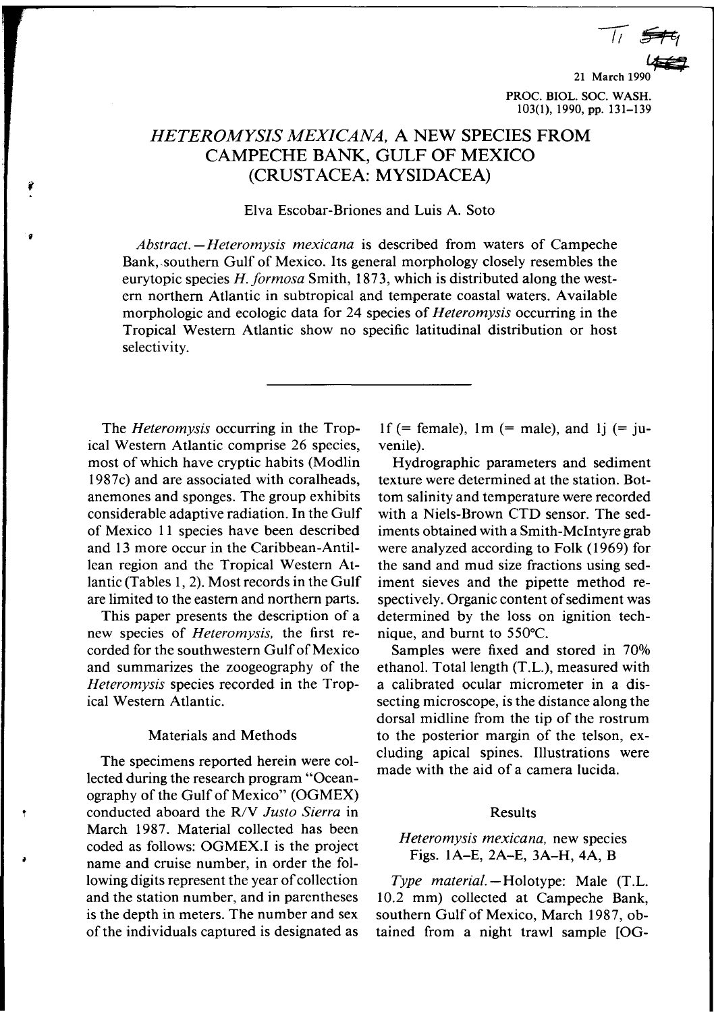*I/~*

21 March 19 PROC. DIOL. Soc. WASH. 103(1),1990, pp. 131-139

# HETEROMYSIS *MEXICANA,* A NEW SPECIES FROM CAMPECHE BANK, GULF OF MEXICO (CRUST ACEA: MYSIDACEA)

Elva Escobar-Briones and Luis A. Soto

*Abstract. -Heteromysis mexicana* is described from waters of Campeche Bank,.southern Gulf of Mexico. Its general morphology closely resembles the eurytopic species *H.formosa* Smith, 1873, which is distributed along the western northern Atlantic in subtropical and temperate coastal waters. Available morphologic and ecologic data for 24 species of *Heteromysis* occurring in the Tropical Western Atlantic show no specific latitudinal distribution or host selectivity.

The *Heteromysis* occurring in the Tropical Western Atlantic comprise 26 species, most of which have cryptic habits (Modlin 1987c) and are associated with coralheads, anemones and sponges. The group exhibits considerable adaptive radiation. In the Gulf of Mexico II species have been described and 13 more occur in the Caribbean-Antillean region and the Tropical Western Atlantic (Tables I, 2). Most records in the Gulf are limited to the eastern and northern parts.

'(

f

This paper presents the description of a new species of *Heteromysis.* the first recorded for the southwestern Gulf of Mexico and summarizes the zoogeography of the *Heteromysis* species recorded in the Tropical Western Atlantic.

## Materials and Methods

The specimens reported herein were collected during the research program "Oceanography of the Gulf of Mexico" (OGMEX) conducted aboard the R/V *Justo Sierra* in March 1987. Material collected has been coded as follows: OGMEX.I is the project name and cruise number, in order the following digits represent the year of collection and the station number, and in parentheses is the depth in meters. The number and sex of the individuals captured is designated as 1f (= female), 1m (= male), and 1j (= juvenile).

Hydrographic parameters and sediment texture were determined at the station. Bottom salinity and temperature were recorded with a Niels-Brown CTD sensor. The sediments obtained with a Smith-McIntyre grab were analyzed according to Folk (1969) for the sand and mud size fractions using sediment sieves and the pipette method respectively. Organic content of sediment was determined by the loss on ignition technique, and burnt to 550°C.

Samples were fixed and stored in 70% ethanol. Total length (T.L.), measured with a calibrated ocular micrometer in a dissecting microscope, is the distance along the dorsal midline from the tip of the rostrum to the posterior margin of the telson, excluding apical spines. Illustrations were made with the aid of a camera lucida.

### Results

## *Heteromysis mexicana.* new species Figs. IA-E, 2A-E, 3A-H, 4A, B

*Type material.* -Holotype: Male (T.L. 10.2 mm) collected at Campeche Bank, southern Gulf of Mexico, March 1987, obtained from a night trawl sample [OG-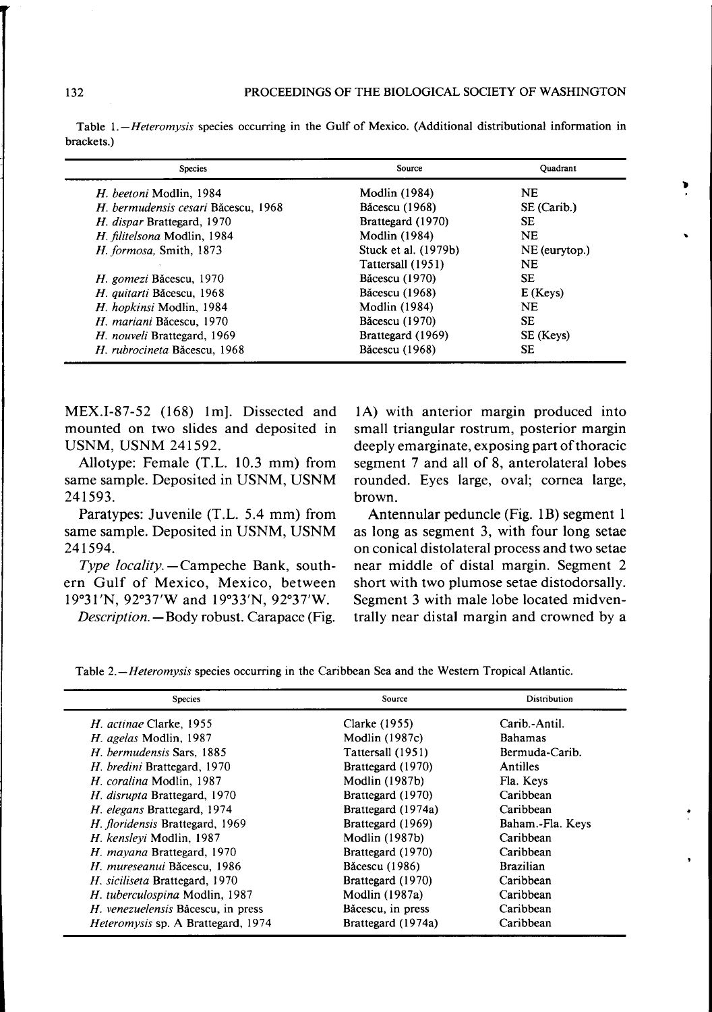Table *l.-Heteromysis* species occurring in the Gulf of Mexico. (Additional distributional information in brackets. )

| <b>Species</b>                      | Source                | Ouadrant      |  |
|-------------------------------------|-----------------------|---------------|--|
| H. beetoni Modlin, 1984             | <b>Modlin</b> (1984)  | <b>NE</b>     |  |
| H. bermudensis cesari Băcescu, 1968 | Băcescu (1968)        | SE (Carib.)   |  |
| H. dispar Brattegard, 1970          | Brattegard (1970)     | SЕ            |  |
| H. filitelsona Modlin, 1984         | <b>Modlin</b> (1984)  | <b>NE</b>     |  |
| H. formosa, Smith, 1873             | Stuck et al. (1979b)  | NE (eurytop.) |  |
|                                     | Tattersall (1951)     | <b>NE</b>     |  |
| H. gomezi Băcescu, 1970             | <b>Băcescu</b> (1970) | SE.           |  |
| H. auitarti Băcescu, 1968           | Băcescu (1968)        | $E$ (Keys)    |  |
| H. hopkinsi Modlin, 1984            | <b>Modlin</b> (1984)  | <b>NE</b>     |  |
| H. mariani Băcescu, 1970            | Băcescu (1970)        | <b>SE</b>     |  |
| H. nouveli Brattegard, 1969         | Brattegard (1969)     | SE (Keys)     |  |
| H. rubrocineta Băcescu, 1968        | Băcescu (1968)        | SЕ            |  |

MEX.I-87-52 (168) 1m]. Dissected and mounted on two slides and deposited in USNM, USNM 241592.

Allotype: Female (T.L. 10.3 mm) from same sample. Deposited in USNM, USNM 241593.

Paratypes: Juvenile (T.L. 5.4 mm) from same sample. Deposited in USNM, USNM 241594.

*Type locality*. - Campeche Bank, southern Gulf of Mexico, Mexico, between 19°31 'N, 92°37'W and 19°33'N, 92°37'W.

*Description.* - Body robust. Carapace (Fig.

lA) with anterior margin produced into small triangular rostrum, posterior margin deeply emarginate, exposing part of thoracic segment 7 and all of 8, anterolateral lobes rounded. Eyes large, oval; cornea large, brown.

..

Antennular peduncle (Fig. 1B) segment 1 as long as segment 3, with four long setae on conical distolateral process and two setae near middle of distal margin. Segment 2 short with two plumose setae distodorsally. Segment 3 with male lobe located midventrally near distal margin and crowned by a

Table *2.-Heteromysis* species occurring in the Caribbean Sea and the Western Tropical Atlantic.

| Source                | Distribution     |
|-----------------------|------------------|
| Clarke (1955)         | Carib.-Antil.    |
| Modlin $(1987c)$      | <b>Bahamas</b>   |
| Tattersall (1951)     | Bermuda-Carib.   |
| Brattegard (1970)     | <b>Antilles</b>  |
| <b>Modlin (1987b)</b> | Fla. Keys        |
| Brattegard (1970)     | Caribbean        |
| Brattegard (1974a)    | Caribbean        |
| Brattegard (1969)     | Baham.-Fla. Keys |
| Modlin (1987b)        | Caribbean        |
| Brattegard (1970)     | Caribbean        |
| Băcescu (1986)        | <b>Brazilian</b> |
| Brattegard (1970)     | Caribbean        |
| Modlin (1987a)        | Caribbean        |
| Băcescu, in press     | Caribbean        |
| Brattegard (1974a)    | Caribbean        |
|                       |                  |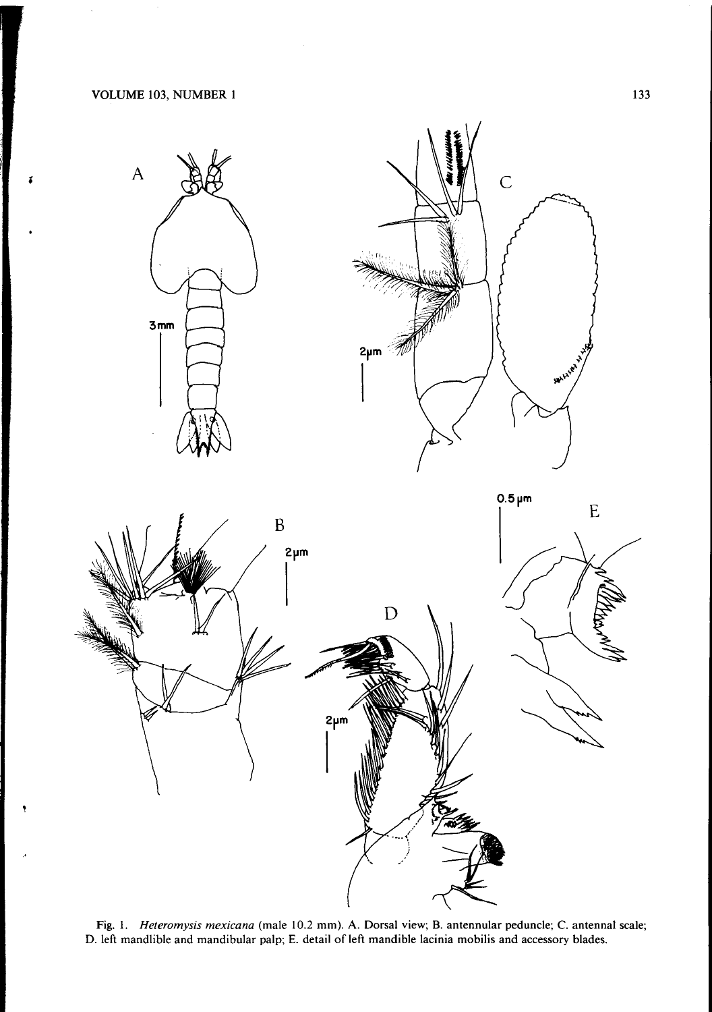

Fig. 1. *Heteromysis mexicana* (male 10.2 mm). A. Dorsal view; B. antennular peduncle; C. antennal scale; D. left mandlible and mandibular palp; E. detail of left mandible lacinia mobilis and accessory blades.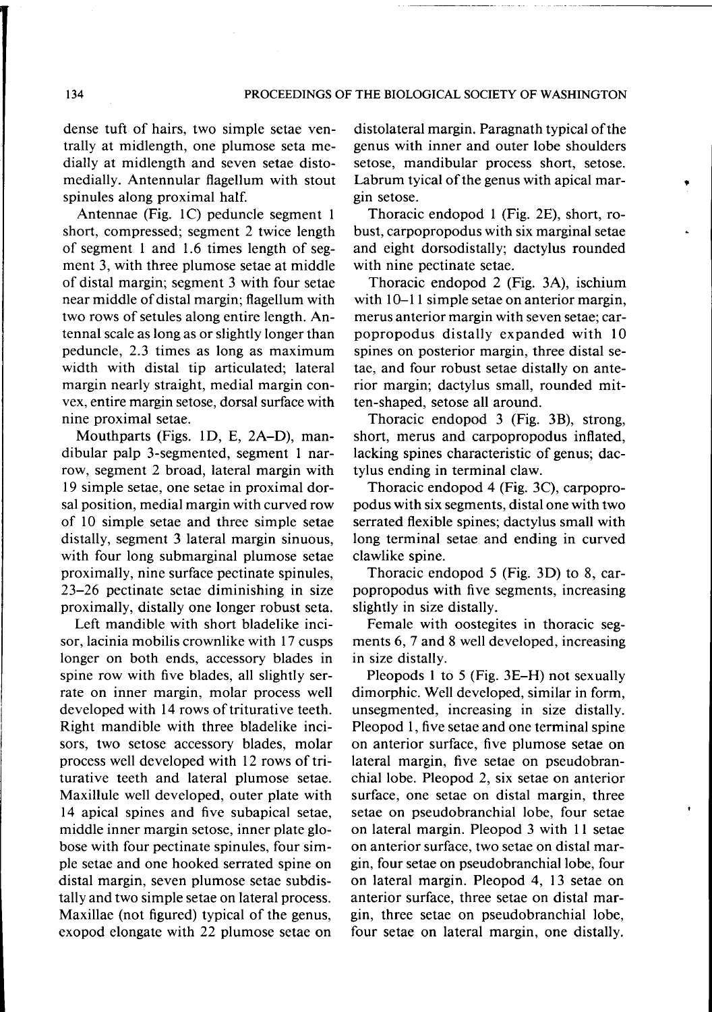dense tuft of hairs, two simple setae ventrally at midlength, one plumose seta medially at midlength and seven setae distomedially. Antennular flagellum with stout spinules along proximal half.

Antennae (Fig. 1C) peduncle segment 1 short, compressed; segment 2 twice length of segment 1 and 1.6 times length of segment 3, with three plumose setae at middle of distal margin; segment 3 with four setae near middle of distal margin; flagellum with two rows of setules along entire length. Antennal scale as long as or slightly longer than peduncle, 2.3 times as long as maximum width with distal tip articulated; lateral margin nearly straight, medial margin convex, entire margin setose, dorsal surface with nine proximal setae.

Mouthparts (Figs. 1D, E, 2A-D), mandibular palp 3-segmented, segment 1 narrow, segment 2 broad, lateral margin with 19 simple setae, one setae in proximal dorsal position, medial margin with curved row of 10 simple setae and three simple setae distally, segment 3 lateral margin sinuous, with four long submarginal plumose setae proximally, nine surface pectinate spinules, 23-26 pectinate setae diminishing in size proximally, distally one longer robust seta.

Left mandible with short bladelike incisor, lacinia mobilis crownlike with 17 cusps longer on both ends, accessory blades in spine row with five blades, all slightly serrate on inner margin, molar process well developed with 14 rows of triturative teeth. Right mandible with three bladelike incisors, two setose accessory blades, molar process well developed with 12 rows of triturative teeth and lateral plumose setae. Maxillule well developed, outer plate with 14 apical spines and five subapical setae, middle inner margin setose, inner plate globose with four pectinate spinules, four simple setae and one hooked serrated spine on distal margin, seven plumose setae subdistally and two simple setae on lateral process. Maxillae (not figured) typical of the genus, exopod elongate with 22 plumose setae on

distolateral margin. Paragnath typical of the genus with inner and outer lobe shoulders setose, mandibular process short, setose. Labrum tyical of the genus with apical margin setose.

.

Thoracic endopod 1 (Fig. 2E), short, robust, carpopropodus with six marginal setae and eight dorsodistally; dactylus rounded with nine pectinate setae.

Thoracic endopod 2 (Fig. 3A), ischium with  $10-11$  simple setae on anterior margin, merus anterior margin with seven setae; carpopropodus distally expanded with 10 spines on posterior margin, three distal setae, and four robust setae distally on anterior margin; dactylus small, rounded mitten-shaped, setose all around.

Thoracic endopod 3 (Fig. 3B), strong, short, merus and carpopropodus inflated, lacking spines characteristic of genus; dactylus ending in terminal claw.

Thoracic endopod 4 (Fig. 3C), carpopropodus with six segments, distal one with two serrated flexible spines; dactylus small with long terminal setae and ending in curved clawlike spine.

Thoracic endopod 5 (Fig. 3D) to 8, carpopropodus with five segments, increasing slightly in size distally.

Female with oostegites in thoracic segments 6, 7 and 8 well developed, increasing in size distally.

Pleopods 1 to 5 (Fig. 3E-H) not sexually dimorphic. Well developed, similar in form, unsegmented, increasing in size distally. Pleopod 1, five setae and one terminal spine on anterior surface, five plumose setae on lateral margin, five setae on pseudobranchial lobe. Pleopod 2, six setae on anterior surface, one setae on distal margin, three setae on pseudo branchial lobe, four setae on lateral margin. Pleopod 3 with 11 setae on anterior surface, two setae on distal margin, four setae on pseudo branchial lobe, four on lateral margin. Pleopod 4, 13 setae on anterior surface, three setae on distal margin, three setae on pseudobranchial lobe, four setae on lateral margin, one distally.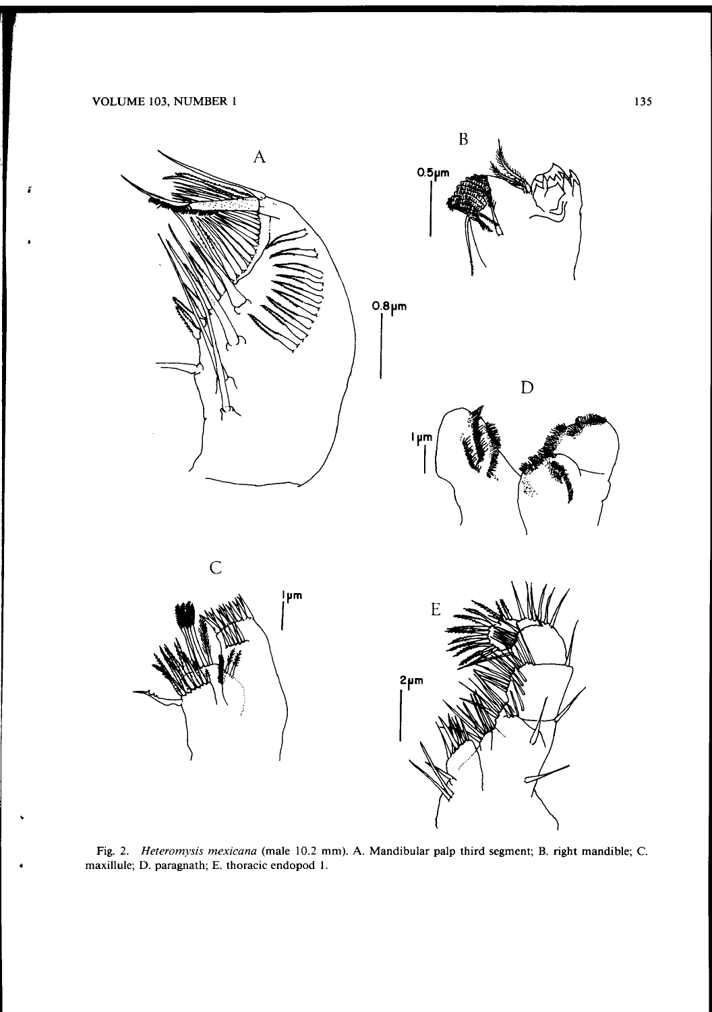;



Fig. 2. *Heteromysis mexicana* (male 10.2 mm). A. Mandibular palp third segment; B. right mandible; C. maxillule; D. paragnath; E. thoracic endopod I.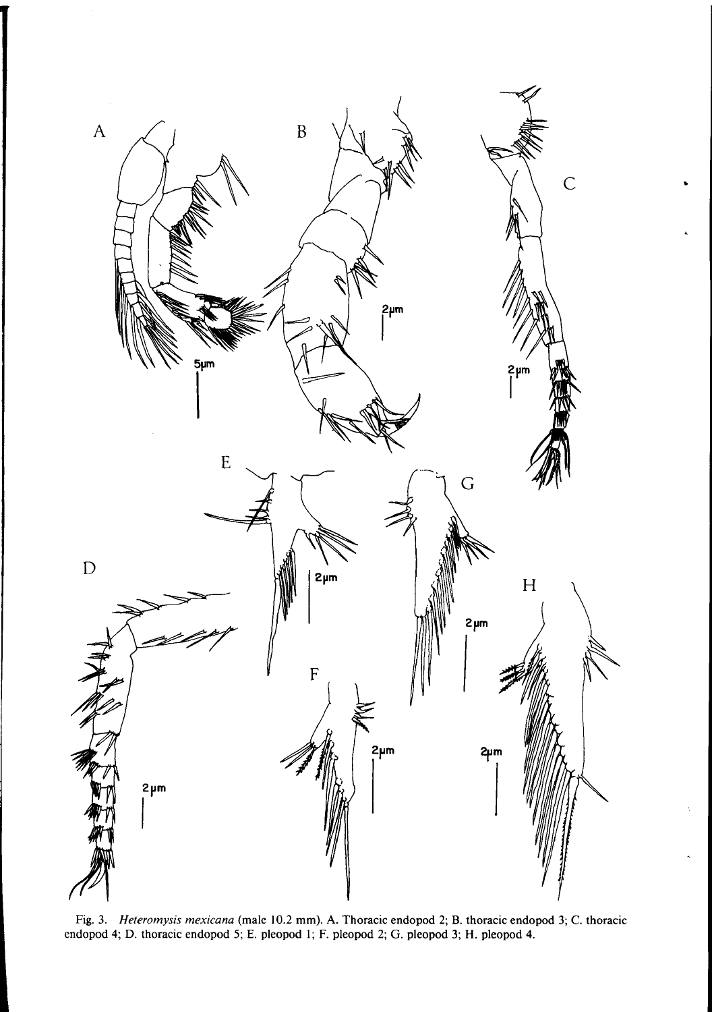

Fig. 3. *Heteromysis mexicana* (male 10.2 mm). A. Thoracic endopod 2; B. thoracic endopod 3; C. thoracic endopod 4; D. thoracic endopod 5; E. pleopod I; F. pleopod 2; G. pleopod 3; H. pleopod 4.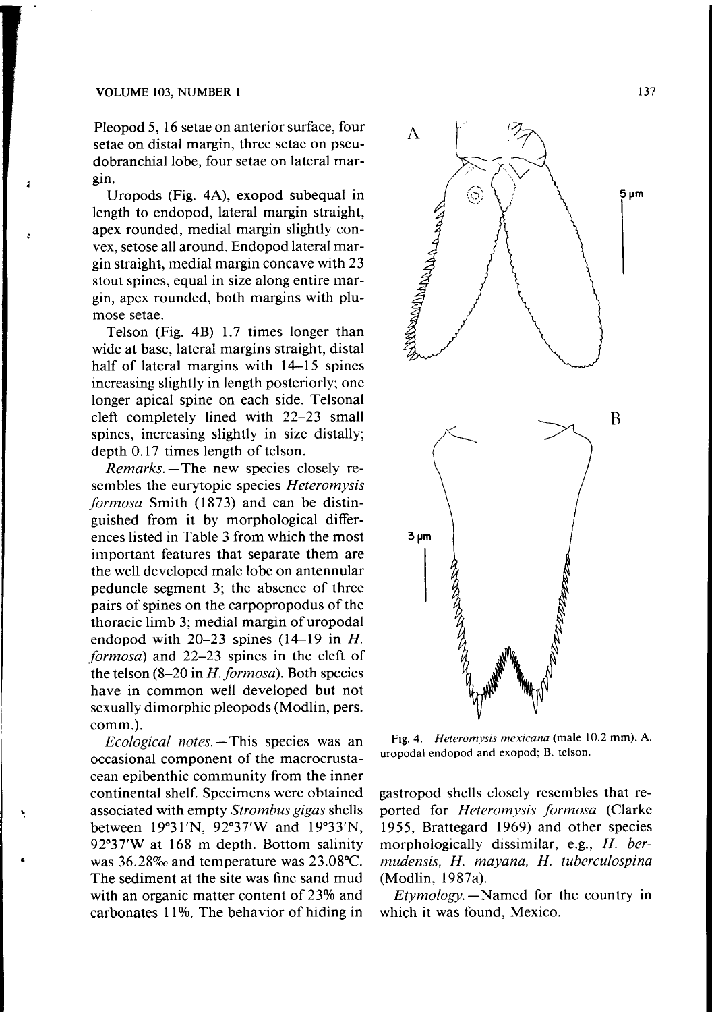Pleopod 5, 16 setae on anterior surface, four setae on distal margin, three setae on pseudobranchial lobe, four setae on lateral margin.

Uropods (Fig. 4A), exopod subequal in length to endopod, lateral margin straight, apex rounded, medial margin slightly convex, setose all around. Endopod lateral margin straight, medial margin concave with 23 stout spines, equal in size along entire margin, apex rounded, both margins with plumose setae.

Telson (Fig. 4B) 1.7 times longer than wide at base, lateral margins straight, distal half of lateral margins with 14-15 spines increasing slightly in length posteriorly; one longer apical spine on each side. Telsonal cleft completely lined with 22-23 small spines, increasing slightly in size distally; depth 0.17 times length of telson.

*Remarks.* - The new species closely resembles the eurytopic species *Heteromysis formosa* Smith (1873) and can be distinguished from it by morphological differences listed in Table 3 from which the most important features that separate them are the well developed male lobe on antennular peduncle segment 3; the absence of three pairs of spines on the carpopropodus of the thoracic limb 3; medial margin of uropodal endopod with  $20-23$  spines  $(14-19)$  in *H*. *formosa)* and 22-23 spines in the cleft of the telson  $(8-20 \text{ in } H.$  *formosa*). Both species have in common well developed but not sexually dimorphic pleopods (Modlin, pers. comm.).

*Ecological notes.* - This species was an occasional component of the macrocrustacean epibenthic community from the inner continental shelf. Specimens were obtained associated with empty *Strombus gigas* shells between 19°31'N, 92°37'W and 19°33'N, 92°37'Wat 168 m depth. Bottom salinity was  $36.28\%$  and temperature was  $23.08\text{°C}$ . The sediment at the site was fine sand mud with an organic matter content of 23% and carbonates 11%. The behavior of hiding in



Fig. 4. *Heteromysis mexicana* (male 10.2 mm). A. uropodal endopod and exopod; B. telson.

gastropod shells closely resembles that reported for *Heteromysis formosa* (Clarke 1955, Brattegard 1969) and other species morphologically dissimilar, e.g., *H. bermudensis. H. mayana. H. tuberculospina* (Modlin, 1987a).

 $Et$ *ymology*.  $-$  Named for the country in which it was found, Mexico.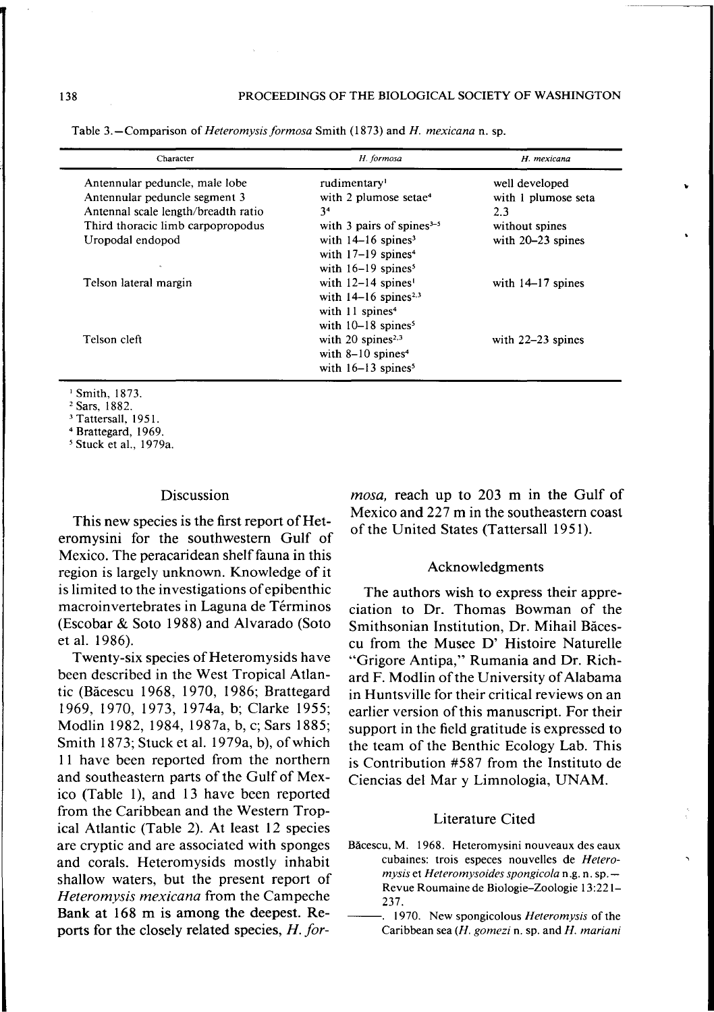| Character                           | H. formosa                         | H. mexicana         |
|-------------------------------------|------------------------------------|---------------------|
| Antennular peduncle, male lobe      | rudimentary <sup>1</sup>           | well developed      |
| Antennular peduncle segment 3       | with 2 plumose setae <sup>4</sup>  | with 1 plumose seta |
| Antennal scale length/breadth ratio | 34                                 | 2.3                 |
| Third thoracic limb carpopropodus   | with 3 pairs of spines $3-5$       | without spines      |
| Uropodal endopod                    | with $14-16$ spines <sup>3</sup>   | with $20-23$ spines |
|                                     | with $17-19$ spines <sup>4</sup>   |                     |
|                                     | with $16-19$ spines <sup>5</sup>   |                     |
| Telson lateral margin               | with $12-14$ spines <sup>1</sup>   | with $14-17$ spines |
|                                     | with $14-16$ spines <sup>2,3</sup> |                     |
|                                     | with 11 spines <sup>4</sup>        |                     |
|                                     | with $10-18$ spines <sup>5</sup>   |                     |
| Telson cleft                        | with $20$ spines <sup>2,3</sup>    | with $22-23$ spines |
|                                     | with $8-10$ spines <sup>4</sup>    |                     |
|                                     | with $16-13$ spines <sup>5</sup>   |                     |

Table 3.-Comparison of *Heteromysisformosa* Smith (1873) and *H. mexicana* n. sp.

<sup>1</sup> Smith, 1873.

<sup>2</sup> Sars, 1882.

<sup>3</sup> Tattersall, 1951.

<sup>4</sup> Brattegard,  $1969$ <br> $\frac{5 \text{ Stuck of } 1.076}{5}$ 

Stuck et aI., 1979a.

#### Discussion

This new species is the first report of Heteromysini for the southwestern Gulf of Mexico. The peracaridean shelf fauna in this region is largely unknown. Knowledge of it is limited to the investigations of epibenthic macroinvertebrates in Laguna de Términos (Escobar & Soto 1988) and Alvarado (Soto et al. 1986).

Twenty-six species of Heteromysids have been described in the West Tropical Atlantic (Bacescu 1968, 1970, 1986; Brattegard 1969, 1970, 1973, 1974a, b; Clarke 1955; Modlin 1982, 1984, 1987a, b, c; Sars 1885; Smith 1873; Stuck et al. 1979a, b), of which II have been reported from the northern and southeastern parts of the Gulf of Mexico (Table 1), and 13 have been reported from the Caribbean and the Western Tropical Atlantic (Table 2). At least 12 species are cryptic and are associated with sponges and corals. Heteromysids mostly inhabit shallow waters, but the present report of *Heteromysis mexicana* from the Campeche Bank at 168 m is among the deepest. Reports for the closely related species, *H. for-* *mosa,* reach up to 203 m in the Gulf of Mexico and 227 m in the southeastern coast of the United States (Tattersall 1951).

"

#### Acknowledgments

The authors wish to express their appreciation to Dr. Thomas Bowman of the Smithsonian Institution, Dr. Mihail Bacescu from the Musee D' Histoire Naturelle "Grigore Antipa," Rumania and Dr. Richard F. Modlin of the University of Alabama in Huntsville for their critical reviews on an earlier version of this manuscript. For their support in the field gratitude is expressed to the team of the Benthic Ecology Lab. This is Contribution #587 from the Instituto de Ciencias del Mar y Limnologia, UNAM.

## Literature Cited

- Băcescu, M. 1968. Heteromysini nouveaux des eaux cubaines: trois especes nouvelles de *Heteromysis* et *Heteromysoides spongicola* n.g. n. sp.- Revue Roumaine de Biologie-Zoologie 13:221- 237.
	- 1970. New spongicolous *Heteromysis* of the Caribbean sea *(H. gomezi* n. sp. and *H. mariani*